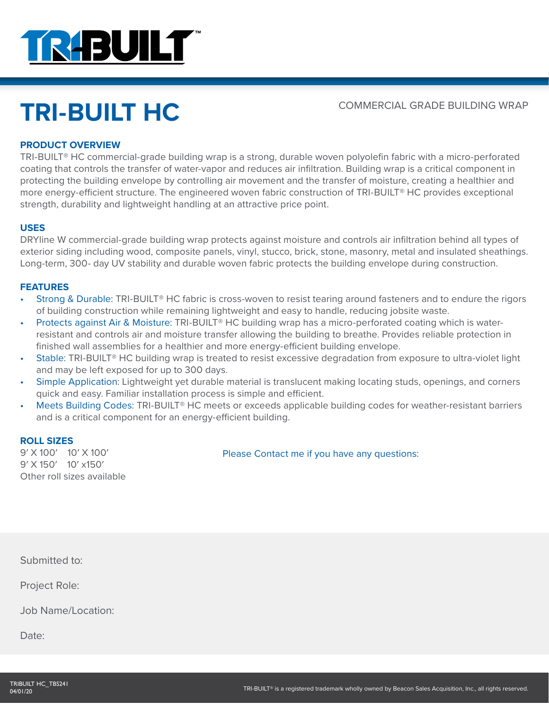

# TRI-BUILT HC<br>
COMMERCIAL GRADE BUILDING WRAP

# **PRODUCT OVERVIEW**

TRI-BUILT® HC commercial-grade building wrap is a strong, durable woven polyolefin fabric with a micro-perforated coating that controls the transfer of water-vapor and reduces air infiltration. Building wrap is a critical component in protecting the building envelope by controlling air movement and the transfer of moisture, creating a healthier and more energy-efficient structure. The engineered woven fabric construction of TRI-BUILT® HC provides exceptional strength, durability and lightweight handling at an attractive price point.

#### **USES**

DRYline W commercial-grade building wrap protects against moisture and controls air infiltration behind all types of exterior siding including wood, composite panels, vinyl, stucco, brick, stone, masonry, metal and insulated sheathings. Long-term, 300- day UV stability and durable woven fabric protects the building envelope during construction.

## **FEATURES**

- Strong & Durable: TRI-BUILT<sup>®</sup> HC fabric is cross-woven to resist tearing around fasteners and to endure the rigors of building construction while remaining lightweight and easy to handle, reducing jobsite waste.
- Protects against Air & Moisture: TRI-BUILT® HC building wrap has a micro-perforated coating which is waterresistant and controls air and moisture transfer allowing the building to breathe. Provides reliable protection in finished wall assemblies for a healthier and more energy-efficient building envelope.
- Stable: TRI-BUILT® HC building wrap is treated to resist excessive degradation from exposure to ultra-violet light and may be left exposed for up to 300 days.
- Simple Application: Lightweight yet durable material is translucent making locating studs, openings, and corners quick and easy. Familiar installation process is simple and efficient.
- Meets Building Codes: TRI-BUILT® HC meets or exceeds applicable building codes for weather-resistant barriers and is a critical component for an energy-efficient building.

## **ROLL SIZES**

9′ X 100′ 10′ X 100′ 9′ X 150′ 10′ x150′ Other roll sizes available

Please Contact me if you have any questions:

Submitted to:

Project Role:

Job Name/Location:

Date: